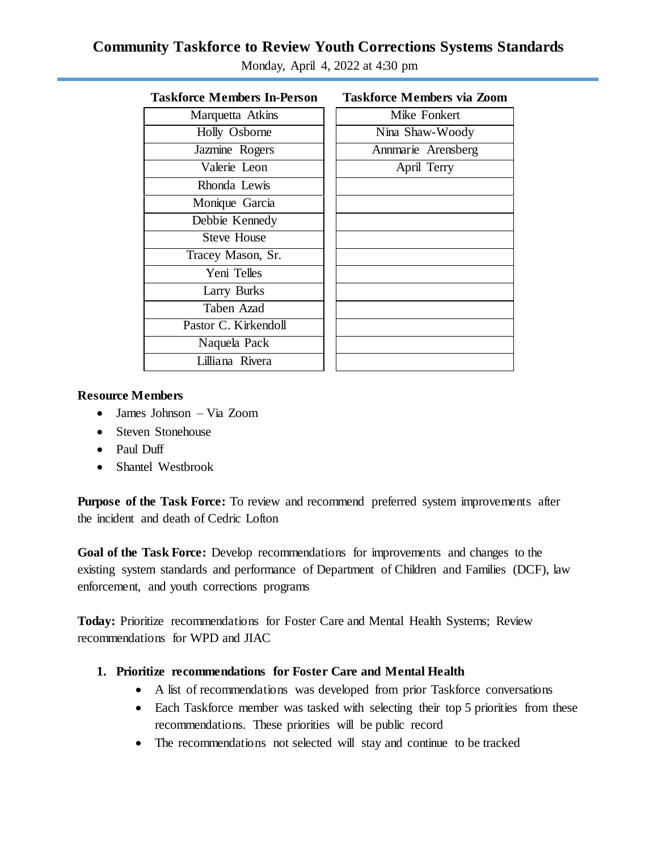# **Community Taskforce to Review Youth Corrections Systems Standards**

| <b>Taskforce Members In-Person</b> | <b>Taskforce Members via Zoom</b> |
|------------------------------------|-----------------------------------|
| Marquetta Atkins                   | Mike Fonkert                      |
| Holly Osborne                      | Nina Shaw-Woody                   |
| Jazmine Rogers                     | Annmarie Arensberg                |
| Valerie Leon                       | April Terry                       |
| Rhonda Lewis                       |                                   |
| Monique Garcia                     |                                   |
| Debbie Kennedy                     |                                   |
| <b>Steve House</b>                 |                                   |
| Tracey Mason, Sr.                  |                                   |
| Yeni Telles                        |                                   |
| Larry Burks                        |                                   |
| Taben Azad                         |                                   |
| Pastor C. Kirkendoll               |                                   |
| Naquela Pack                       |                                   |
| Lilliana Rivera                    |                                   |
|                                    |                                   |

Monday, April 4, 2022 at 4:30 pm

## **Resource Members**

- James Johnson Via Zoom
- Steven Stonehouse
- Paul Duff
- Shantel Westbrook

**Purpose of the Task Force:** To review and recommend preferred system improvements after the incident and death of Cedric Lofton

**Goal of the Task Force:** Develop recommendations for improvements and changes to the existing system standards and performance of Department of Children and Families (DCF), law enforcement, and youth corrections programs

**Today:** Prioritize recommendations for Foster Care and Mental Health Systems; Review recommendations for WPD and JIAC

### **1. Prioritize recommendations for Foster Care and Mental Health**

- A list of recommendations was developed from prior Taskforce conversations
- Each Taskforce member was tasked with selecting their top 5 priorities from these recommendations. These priorities will be public record
- The recommendations not selected will stay and continue to be tracked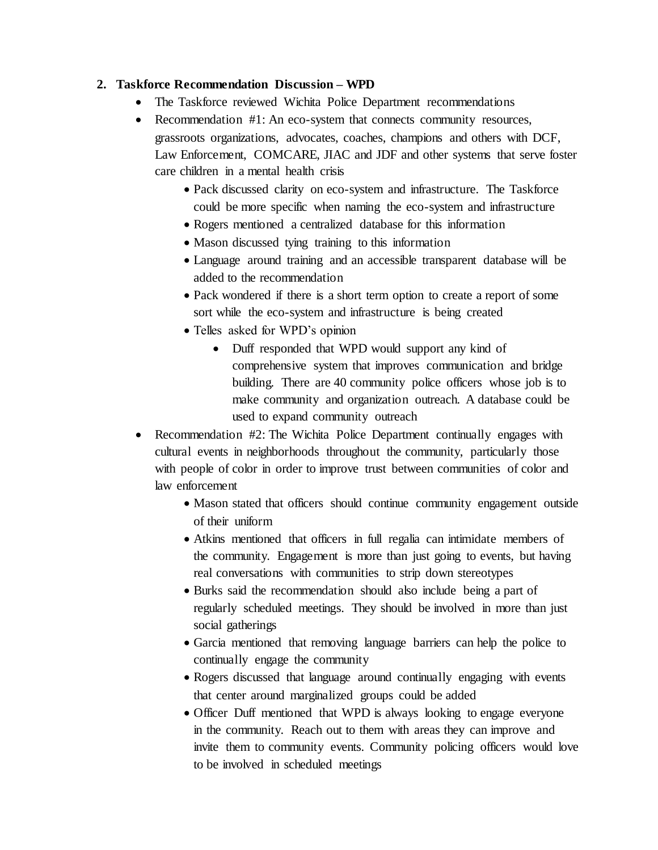### **2. Taskforce Recommendation Discussion – WPD**

- The Taskforce reviewed Wichita Police Department recommendations
- Recommendation #1: An eco-system that connects community resources, grassroots organizations, advocates, coaches, champions and others with DCF, Law Enforcement, COMCARE, JIAC and JDF and other systems that serve foster care children in a mental health crisis
	- Pack discussed clarity on eco-system and infrastructure. The Taskforce could be more specific when naming the eco-system and infrastructure
	- Rogers mentioned a centralized database for this information
	- Mason discussed tying training to this information
	- Language around training and an accessible transparent database will be added to the recommendation
	- Pack wondered if there is a short term option to create a report of some sort while the eco-system and infrastructure is being created
	- Telles asked for WPD's opinion
		- Duff responded that WPD would support any kind of comprehensive system that improves communication and bridge building. There are 40 community police officers whose job is to make community and organization outreach. A database could be used to expand community outreach
- Recommendation #2: The Wichita Police Department continually engages with cultural events in neighborhoods throughout the community, particularly those with people of color in order to improve trust between communities of color and law enforcement
	- Mason stated that officers should continue community engagement outside of their uniform
	- Atkins mentioned that officers in full regalia can intimidate members of the community. Engagement is more than just going to events, but having real conversations with communities to strip down stereotypes
	- Burks said the recommendation should also include being a part of regularly scheduled meetings. They should be involved in more than just social gatherings
	- Garcia mentioned that removing language barriers can help the police to continually engage the community
	- Rogers discussed that language around continually engaging with events that center around marginalized groups could be added
	- Officer Duff mentioned that WPD is always looking to engage everyone in the community. Reach out to them with areas they can improve and invite them to community events. Community policing officers would love to be involved in scheduled meetings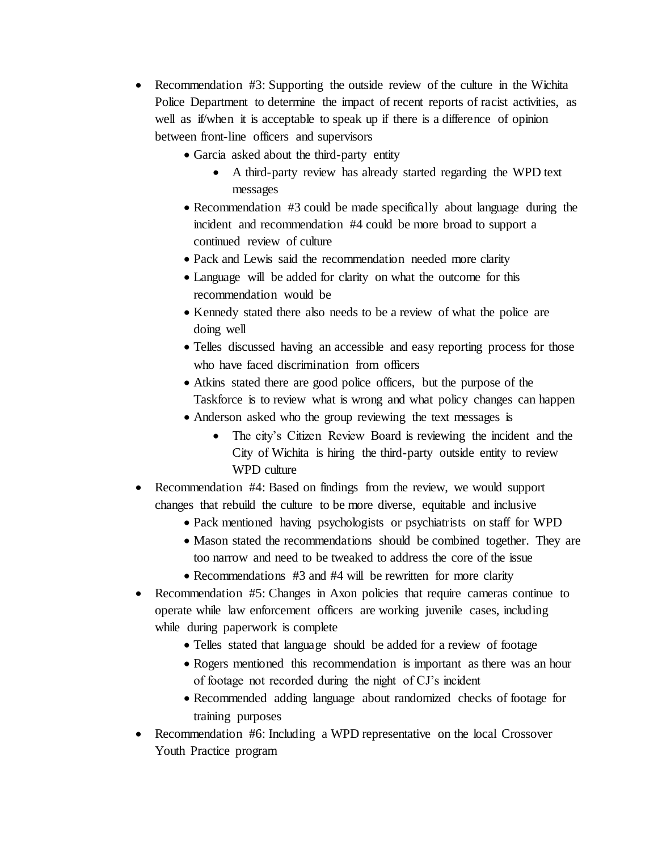- Recommendation #3: Supporting the outside review of the culture in the Wichita Police Department to determine the impact of recent reports of racist activities, as well as if/when it is acceptable to speak up if there is a difference of opinion between front-line officers and supervisors
	- Garcia asked about the third-party entity
		- A third-party review has already started regarding the WPD text messages
	- Recommendation #3 could be made specifically about language during the incident and recommendation #4 could be more broad to support a continued review of culture
	- Pack and Lewis said the recommendation needed more clarity
	- Language will be added for clarity on what the outcome for this recommendation would be
	- Kennedy stated there also needs to be a review of what the police are doing well
	- Telles discussed having an accessible and easy reporting process for those who have faced discrimination from officers
	- Atkins stated there are good police officers, but the purpose of the Taskforce is to review what is wrong and what policy changes can happen
	- Anderson asked who the group reviewing the text messages is
		- The city's Citizen Review Board is reviewing the incident and the City of Wichita is hiring the third-party outside entity to review WPD culture
- Recommendation #4: Based on findings from the review, we would support changes that rebuild the culture to be more diverse, equitable and inclusive
	- Pack mentioned having psychologists or psychiatrists on staff for WPD
	- Mason stated the recommendations should be combined together. They are too narrow and need to be tweaked to address the core of the issue
	- Recommendations #3 and #4 will be rewritten for more clarity
- Recommendation #5: Changes in Axon policies that require cameras continue to operate while law enforcement officers are working juvenile cases, including while during paperwork is complete
	- Telles stated that language should be added for a review of footage
	- Rogers mentioned this recommendation is important as there was an hour of footage not recorded during the night of CJ's incident
	- Recommended adding language about randomized checks of footage for training purposes
- Recommendation #6: Including a WPD representative on the local Crossover Youth Practice program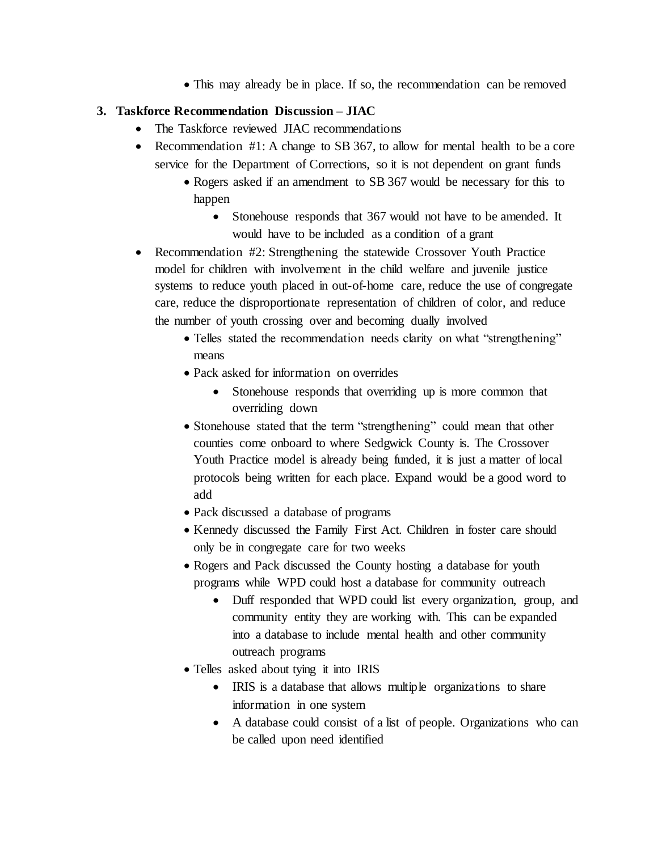• This may already be in place. If so, the recommendation can be removed

# **3. Taskforce Recommendation Discussion – JIAC**

- The Taskforce reviewed JIAC recommendations
- Recommendation #1: A change to SB 367, to allow for mental health to be a core service for the Department of Corrections, so it is not dependent on grant funds
	- Rogers asked if an amendment to SB 367 would be necessary for this to happen
		- Stonehouse responds that 367 would not have to be amended. It would have to be included as a condition of a grant
- Recommendation #2: Strengthening the statewide Crossover Youth Practice model for children with involvement in the child welfare and juvenile justice systems to reduce youth placed in out-of-home care, reduce the use of congregate care, reduce the disproportionate representation of children of color, and reduce the number of youth crossing over and becoming dually involved
	- Telles stated the recommendation needs clarity on what "strengthening" means
	- Pack asked for information on overrides
		- Stonehouse responds that overriding up is more common that overriding down
	- Stonehouse stated that the term "strengthening" could mean that other counties come onboard to where Sedgwick County is. The Crossover Youth Practice model is already being funded, it is just a matter of local protocols being written for each place. Expand would be a good word to add
	- Pack discussed a database of programs
	- Kennedy discussed the Family First Act. Children in foster care should only be in congregate care for two weeks
	- Rogers and Pack discussed the County hosting a database for youth programs while WPD could host a database for community outreach
		- Duff responded that WPD could list every organization, group, and community entity they are working with. This can be expanded into a database to include mental health and other community outreach programs
	- Telles asked about tying it into IRIS
		- IRIS is a database that allows multiple organizations to share information in one system
		- A database could consist of a list of people. Organizations who can be called upon need identified